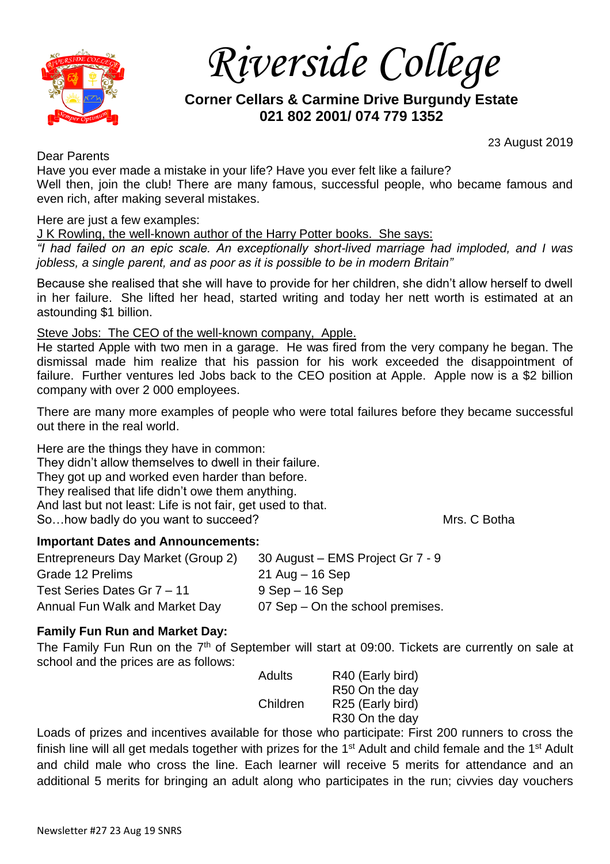

*Riverside College*

# **Corner Cellars & Carmine Drive Burgundy Estate 021 802 2001/ 074 779 1352**

23 August 2019

Dear Parents

Have you ever made a mistake in your life? Have you ever felt like a failure? Well then, join the club! There are many famous, successful people, who became famous and even rich, after making several mistakes.

Here are just a few examples:

J K Rowling, the well-known author of the Harry Potter books. She says:

*"I had failed on an epic scale. An exceptionally short-lived marriage had imploded, and I was jobless, a single parent, and as poor as it is possible to be in modern Britain"*

Because she realised that she will have to provide for her children, she didn't allow herself to dwell in her failure. She lifted her head, started writing and today her nett worth is estimated at an astounding \$1 billion.

### Steve Jobs: The CEO of the well-known company, Apple.

He started Apple with two men in a garage. He was fired from the very company he began. The dismissal made him realize that his passion for his work exceeded the disappointment of failure. Further ventures led Jobs back to the CEO position at Apple. Apple now is a \$2 billion company with over 2 000 employees.

There are many more examples of people who were total failures before they became successful out there in the real world.

Here are the things they have in common: They didn't allow themselves to dwell in their failure. They got up and worked even harder than before. They realised that life didn't owe them anything. And last but not least: Life is not fair, get used to that. So...how badly do you want to succeed? Mrs. C Botha

### **Important Dates and Announcements:**

Entrepreneurs Day Market (Group 2) 30 August – EMS Project Gr 7 - 9 Grade 12 Prelims 21 Aug – 16 Sep Test Series Dates Gr  $7 - 11$  9 Sep – 16 Sep Annual Fun Walk and Market Day 07 Sep – On the school premises.

## **Family Fun Run and Market Day:**

The Family Fun Run on the 7<sup>th</sup> of September will start at 09:00. Tickets are currently on sale at school and the prices are as follows:

Adults R40 (Early bird) R50 On the day Children R25 (Early bird) R30 On the day

Loads of prizes and incentives available for those who participate: First 200 runners to cross the finish line will all get medals together with prizes for the 1<sup>st</sup> Adult and child female and the 1<sup>st</sup> Adult and child male who cross the line. Each learner will receive 5 merits for attendance and an additional 5 merits for bringing an adult along who participates in the run; civvies day vouchers